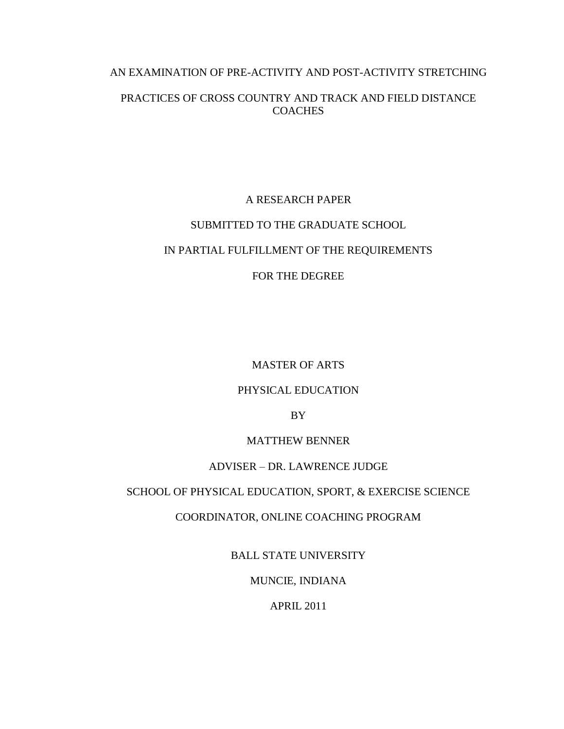# AN EXAMINATION OF PRE-ACTIVITY AND POST-ACTIVITY STRETCHING

# PRACTICES OF CROSS COUNTRY AND TRACK AND FIELD DISTANCE COACHES

# A RESEARCH PAPER

## SUBMITTED TO THE GRADUATE SCHOOL

# IN PARTIAL FULFILLMENT OF THE REQUIREMENTS

# FOR THE DEGREE

MASTER OF ARTS

## PHYSICAL EDUCATION

BY

## MATTHEW BENNER

## ADVISER – DR. LAWRENCE JUDGE

## SCHOOL OF PHYSICAL EDUCATION, SPORT, & EXERCISE SCIENCE

## COORDINATOR, ONLINE COACHING PROGRAM

BALL STATE UNIVERSITY

MUNCIE, INDIANA

APRIL 2011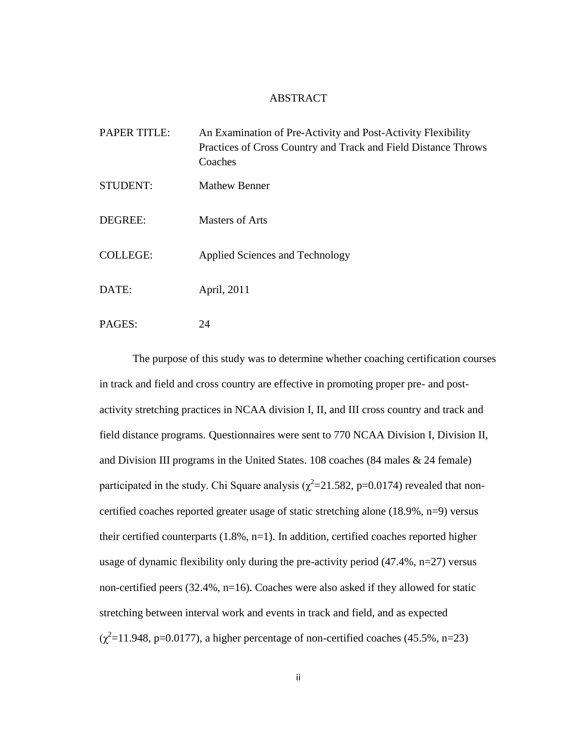#### ABSTRACT

| <b>PAPER TITLE:</b> | An Examination of Pre-Activity and Post-Activity Flexibility<br>Practices of Cross Country and Track and Field Distance Throws<br>Coaches |
|---------------------|-------------------------------------------------------------------------------------------------------------------------------------------|
| <b>STUDENT:</b>     | <b>Mathew Benner</b>                                                                                                                      |
| DEGREE:             | <b>Masters of Arts</b>                                                                                                                    |
| <b>COLLEGE:</b>     | Applied Sciences and Technology                                                                                                           |
| DATE:               | April, 2011                                                                                                                               |
| PAGES:              | 24                                                                                                                                        |

The purpose of this study was to determine whether coaching certification courses in track and field and cross country are effective in promoting proper pre- and postactivity stretching practices in NCAA division I, II, and III cross country and track and field distance programs. Questionnaires were sent to 770 NCAA Division I, Division II, and Division III programs in the United States. 108 coaches (84 males & 24 female) participated in the study. Chi Square analysis ( $\chi^2$ =21.582, p=0.0174) revealed that noncertified coaches reported greater usage of static stretching alone (18.9%, n=9) versus their certified counterparts (1.8%, n=1). In addition, certified coaches reported higher usage of dynamic flexibility only during the pre-activity period  $(47.4\%, n=27)$  versus non-certified peers (32.4%, n=16). Coaches were also asked if they allowed for static stretching between interval work and events in track and field, and as expected  $(\chi^2=11.948, p=0.0177)$ , a higher percentage of non-certified coaches (45.5%, n=23)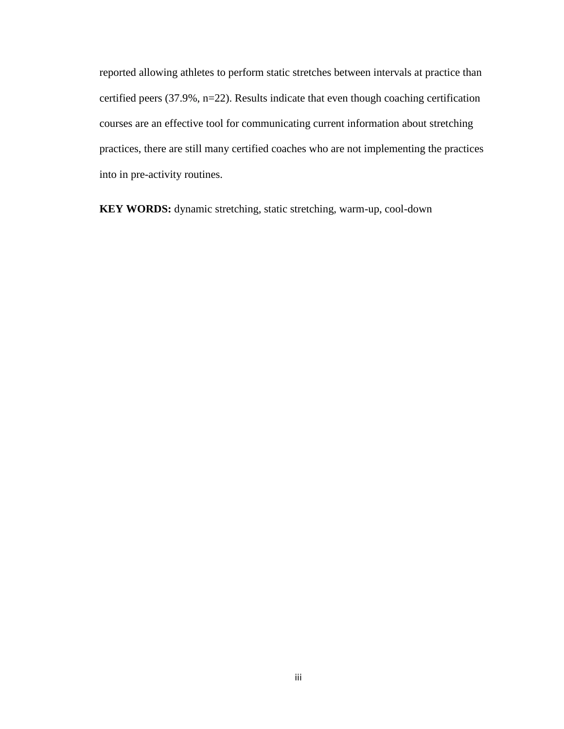reported allowing athletes to perform static stretches between intervals at practice than certified peers (37.9%, n=22). Results indicate that even though coaching certification courses are an effective tool for communicating current information about stretching practices, there are still many certified coaches who are not implementing the practices into in pre-activity routines.

**KEY WORDS:** dynamic stretching, static stretching, warm-up, cool-down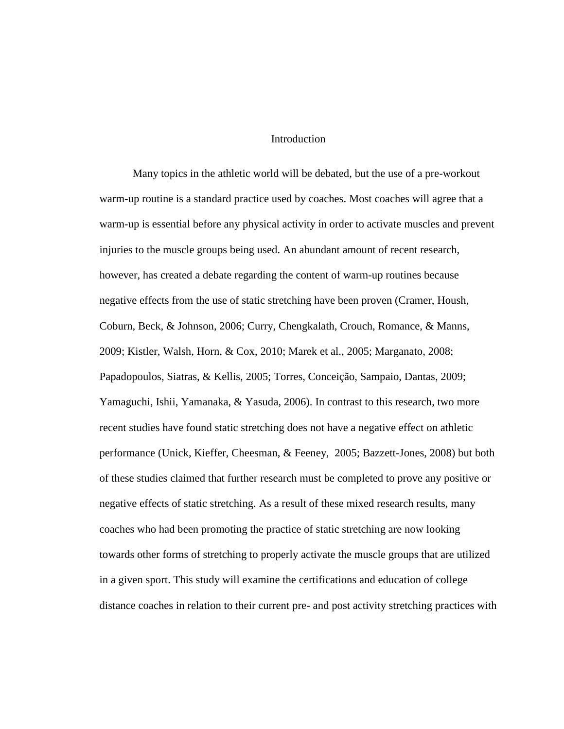### Introduction

Many topics in the athletic world will be debated, but the use of a pre-workout warm-up routine is a standard practice used by coaches. Most coaches will agree that a warm-up is essential before any physical activity in order to activate muscles and prevent injuries to the muscle groups being used. An abundant amount of recent research, however, has created a debate regarding the content of warm-up routines because negative effects from the use of static stretching have been proven (Cramer, Housh, Coburn, Beck, & Johnson, 2006; Curry, Chengkalath, Crouch, Romance, & Manns, 2009; Kistler, Walsh, Horn, & Cox, 2010; Marek et al., 2005; Marganato, 2008; Papadopoulos, Siatras, & Kellis, 2005; Torres, Conceição, Sampaio, Dantas, 2009; Yamaguchi, Ishii, Yamanaka, & Yasuda, 2006). In contrast to this research, two more recent studies have found static stretching does not have a negative effect on athletic performance (Unick, Kieffer, Cheesman, & Feeney, 2005; Bazzett-Jones, 2008) but both of these studies claimed that further research must be completed to prove any positive or negative effects of static stretching. As a result of these mixed research results, many coaches who had been promoting the practice of static stretching are now looking towards other forms of stretching to properly activate the muscle groups that are utilized in a given sport. This study will examine the certifications and education of college distance coaches in relation to their current pre- and post activity stretching practices with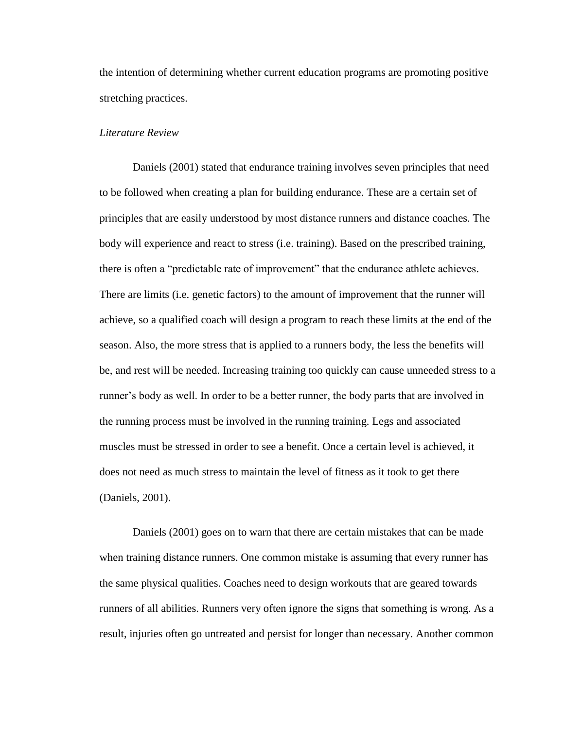the intention of determining whether current education programs are promoting positive stretching practices.

## *Literature Review*

Daniels (2001) stated that endurance training involves seven principles that need to be followed when creating a plan for building endurance. These are a certain set of principles that are easily understood by most distance runners and distance coaches. The body will experience and react to stress (i.e. training). Based on the prescribed training, there is often a "predictable rate of improvement" that the endurance athlete achieves. There are limits (i.e. genetic factors) to the amount of improvement that the runner will achieve, so a qualified coach will design a program to reach these limits at the end of the season. Also, the more stress that is applied to a runners body, the less the benefits will be, and rest will be needed. Increasing training too quickly can cause unneeded stress to a runner"s body as well. In order to be a better runner, the body parts that are involved in the running process must be involved in the running training. Legs and associated muscles must be stressed in order to see a benefit. Once a certain level is achieved, it does not need as much stress to maintain the level of fitness as it took to get there (Daniels, 2001).

Daniels (2001) goes on to warn that there are certain mistakes that can be made when training distance runners. One common mistake is assuming that every runner has the same physical qualities. Coaches need to design workouts that are geared towards runners of all abilities. Runners very often ignore the signs that something is wrong. As a result, injuries often go untreated and persist for longer than necessary. Another common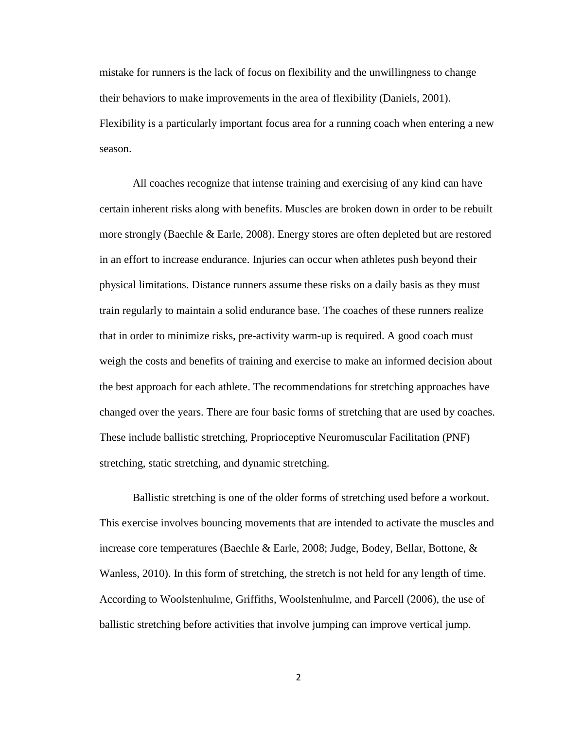mistake for runners is the lack of focus on flexibility and the unwillingness to change their behaviors to make improvements in the area of flexibility (Daniels, 2001). Flexibility is a particularly important focus area for a running coach when entering a new season.

All coaches recognize that intense training and exercising of any kind can have certain inherent risks along with benefits. Muscles are broken down in order to be rebuilt more strongly (Baechle & Earle, 2008). Energy stores are often depleted but are restored in an effort to increase endurance. Injuries can occur when athletes push beyond their physical limitations. Distance runners assume these risks on a daily basis as they must train regularly to maintain a solid endurance base. The coaches of these runners realize that in order to minimize risks, pre-activity warm-up is required. A good coach must weigh the costs and benefits of training and exercise to make an informed decision about the best approach for each athlete. The recommendations for stretching approaches have changed over the years. There are four basic forms of stretching that are used by coaches. These include ballistic stretching, Proprioceptive Neuromuscular Facilitation (PNF) stretching, static stretching, and dynamic stretching.

Ballistic stretching is one of the older forms of stretching used before a workout. This exercise involves bouncing movements that are intended to activate the muscles and increase core temperatures (Baechle & Earle, 2008; Judge, Bodey, Bellar, Bottone, & Wanless, 2010). In this form of stretching, the stretch is not held for any length of time. According to Woolstenhulme, Griffiths, Woolstenhulme, and Parcell (2006), the use of ballistic stretching before activities that involve jumping can improve vertical jump.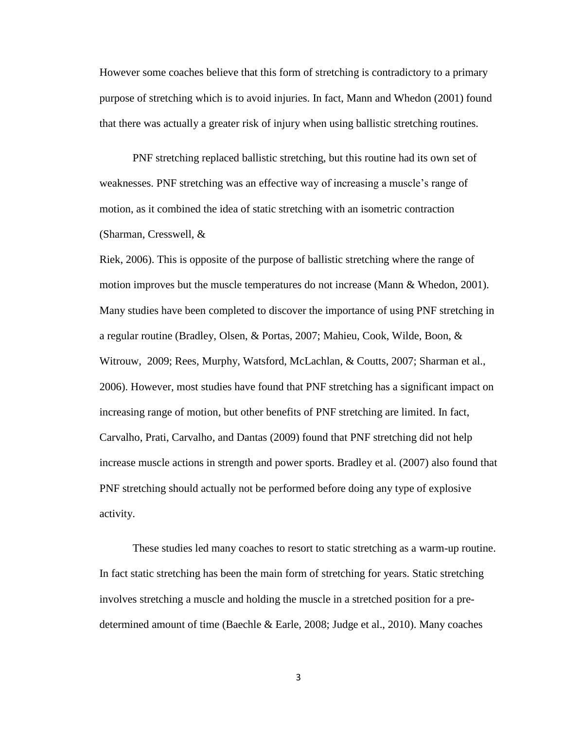However some coaches believe that this form of stretching is contradictory to a primary purpose of stretching which is to avoid injuries. In fact, Mann and Whedon (2001) found that there was actually a greater risk of injury when using ballistic stretching routines.

PNF stretching replaced ballistic stretching, but this routine had its own set of weaknesses. PNF stretching was an effective way of increasing a muscle"s range of motion, as it combined the idea of static stretching with an isometric contraction (Sharman, Cresswell, &

Riek, 2006). This is opposite of the purpose of ballistic stretching where the range of motion improves but the muscle temperatures do not increase (Mann & Whedon, 2001). Many studies have been completed to discover the importance of using PNF stretching in a regular routine (Bradley, Olsen, & Portas, 2007; Mahieu, Cook, Wilde, Boon, & Witrouw, 2009; Rees, Murphy, Watsford, McLachlan, & Coutts, 2007; Sharman et al., 2006). However, most studies have found that PNF stretching has a significant impact on increasing range of motion, but other benefits of PNF stretching are limited. In fact, Carvalho, Prati, Carvalho, and Dantas (2009) found that PNF stretching did not help increase muscle actions in strength and power sports. Bradley et al. (2007) also found that PNF stretching should actually not be performed before doing any type of explosive activity.

These studies led many coaches to resort to static stretching as a warm-up routine. In fact static stretching has been the main form of stretching for years. Static stretching involves stretching a muscle and holding the muscle in a stretched position for a predetermined amount of time (Baechle & Earle, 2008; Judge et al., 2010). Many coaches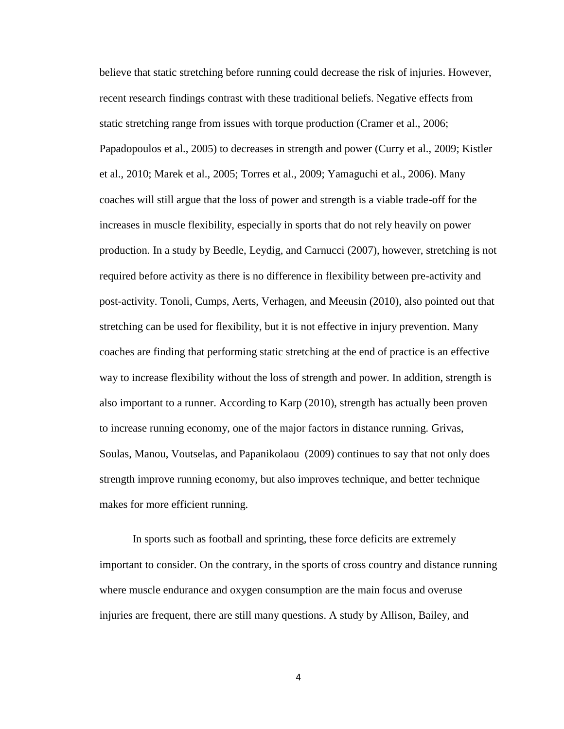believe that static stretching before running could decrease the risk of injuries. However, recent research findings contrast with these traditional beliefs. Negative effects from static stretching range from issues with torque production (Cramer et al., 2006; Papadopoulos et al., 2005) to decreases in strength and power (Curry et al., 2009; Kistler et al., 2010; Marek et al., 2005; Torres et al., 2009; Yamaguchi et al., 2006). Many coaches will still argue that the loss of power and strength is a viable trade-off for the increases in muscle flexibility, especially in sports that do not rely heavily on power production. In a study by Beedle, Leydig, and Carnucci (2007), however, stretching is not required before activity as there is no difference in flexibility between pre-activity and post-activity. Tonoli, Cumps, Aerts, Verhagen, and Meeusin (2010), also pointed out that stretching can be used for flexibility, but it is not effective in injury prevention. Many coaches are finding that performing static stretching at the end of practice is an effective way to increase flexibility without the loss of strength and power. In addition, strength is also important to a runner. According to Karp (2010), strength has actually been proven to increase running economy, one of the major factors in distance running. Grivas, Soulas, Manou, Voutselas, and Papanikolaou (2009) continues to say that not only does strength improve running economy, but also improves technique, and better technique makes for more efficient running.

In sports such as football and sprinting, these force deficits are extremely important to consider. On the contrary, in the sports of cross country and distance running where muscle endurance and oxygen consumption are the main focus and overuse injuries are frequent, there are still many questions. A study by Allison, Bailey, and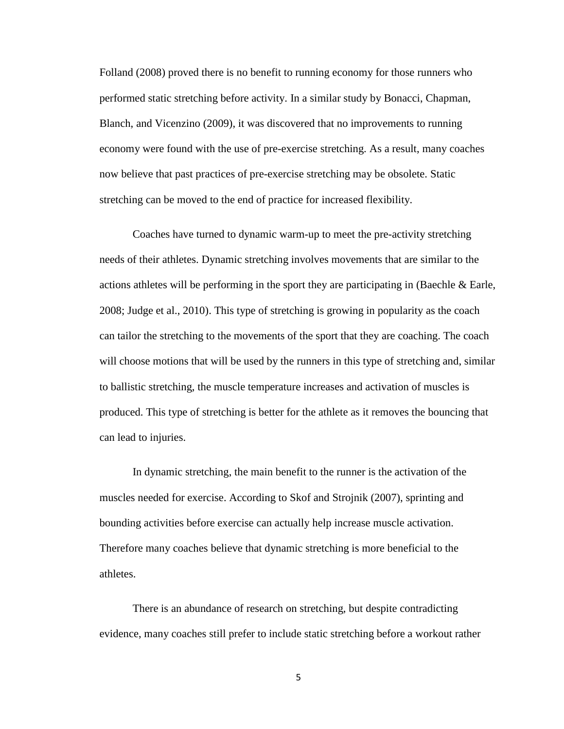Folland (2008) proved there is no benefit to running economy for those runners who performed static stretching before activity. In a similar study by Bonacci, Chapman, Blanch, and Vicenzino (2009), it was discovered that no improvements to running economy were found with the use of pre-exercise stretching. As a result, many coaches now believe that past practices of pre-exercise stretching may be obsolete. Static stretching can be moved to the end of practice for increased flexibility.

Coaches have turned to dynamic warm-up to meet the pre-activity stretching needs of their athletes. Dynamic stretching involves movements that are similar to the actions athletes will be performing in the sport they are participating in (Baechle & Earle, 2008; Judge et al., 2010). This type of stretching is growing in popularity as the coach can tailor the stretching to the movements of the sport that they are coaching. The coach will choose motions that will be used by the runners in this type of stretching and, similar to ballistic stretching, the muscle temperature increases and activation of muscles is produced. This type of stretching is better for the athlete as it removes the bouncing that can lead to injuries.

In dynamic stretching, the main benefit to the runner is the activation of the muscles needed for exercise. According to Skof and Strojnik (2007), sprinting and bounding activities before exercise can actually help increase muscle activation. Therefore many coaches believe that dynamic stretching is more beneficial to the athletes.

There is an abundance of research on stretching, but despite contradicting evidence, many coaches still prefer to include static stretching before a workout rather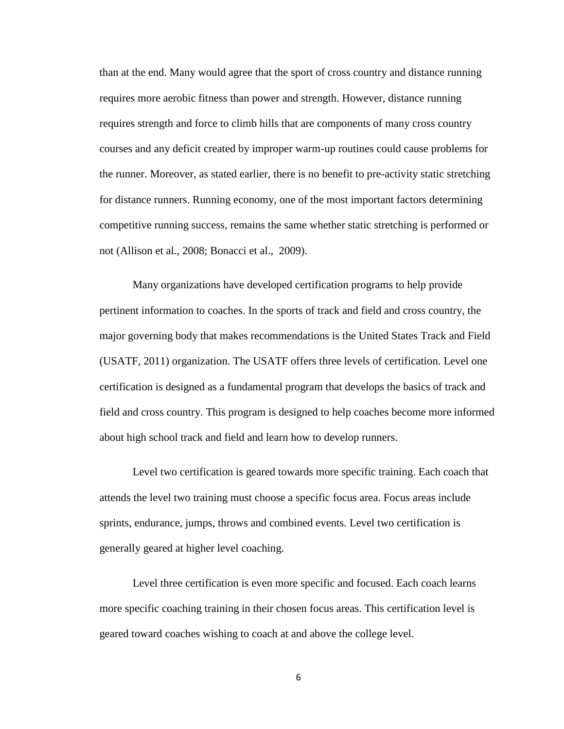than at the end. Many would agree that the sport of cross country and distance running requires more aerobic fitness than power and strength. However, distance running requires strength and force to climb hills that are components of many cross country courses and any deficit created by improper warm-up routines could cause problems for the runner. Moreover, as stated earlier, there is no benefit to pre-activity static stretching for distance runners. Running economy, one of the most important factors determining competitive running success, remains the same whether static stretching is performed or not (Allison et al., 2008; Bonacci et al., 2009).

Many organizations have developed certification programs to help provide pertinent information to coaches. In the sports of track and field and cross country, the major governing body that makes recommendations is the United States Track and Field (USATF, 2011) organization. The USATF offers three levels of certification. Level one certification is designed as a fundamental program that develops the basics of track and field and cross country. This program is designed to help coaches become more informed about high school track and field and learn how to develop runners.

Level two certification is geared towards more specific training. Each coach that attends the level two training must choose a specific focus area. Focus areas include sprints, endurance, jumps, throws and combined events. Level two certification is generally geared at higher level coaching.

Level three certification is even more specific and focused. Each coach learns more specific coaching training in their chosen focus areas. This certification level is geared toward coaches wishing to coach at and above the college level.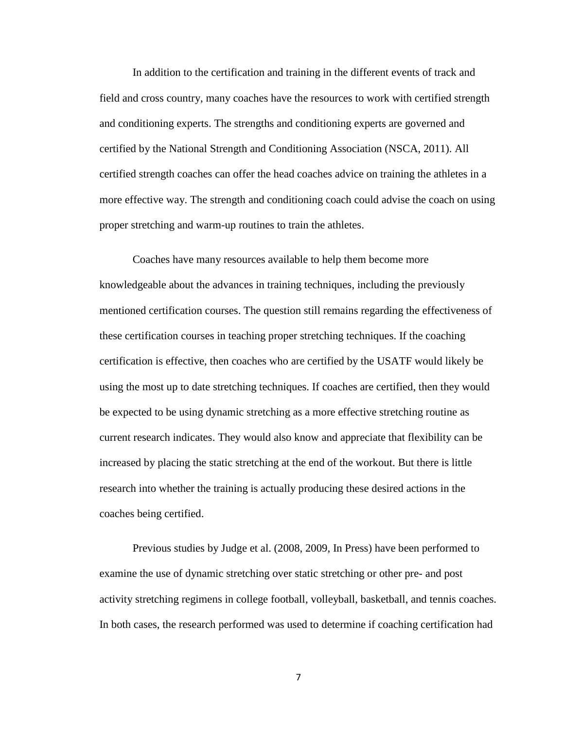In addition to the certification and training in the different events of track and field and cross country, many coaches have the resources to work with certified strength and conditioning experts. The strengths and conditioning experts are governed and certified by the National Strength and Conditioning Association (NSCA, 2011). All certified strength coaches can offer the head coaches advice on training the athletes in a more effective way. The strength and conditioning coach could advise the coach on using proper stretching and warm-up routines to train the athletes.

Coaches have many resources available to help them become more knowledgeable about the advances in training techniques, including the previously mentioned certification courses. The question still remains regarding the effectiveness of these certification courses in teaching proper stretching techniques. If the coaching certification is effective, then coaches who are certified by the USATF would likely be using the most up to date stretching techniques. If coaches are certified, then they would be expected to be using dynamic stretching as a more effective stretching routine as current research indicates. They would also know and appreciate that flexibility can be increased by placing the static stretching at the end of the workout. But there is little research into whether the training is actually producing these desired actions in the coaches being certified.

Previous studies by Judge et al. (2008, 2009, In Press) have been performed to examine the use of dynamic stretching over static stretching or other pre- and post activity stretching regimens in college football, volleyball, basketball, and tennis coaches. In both cases, the research performed was used to determine if coaching certification had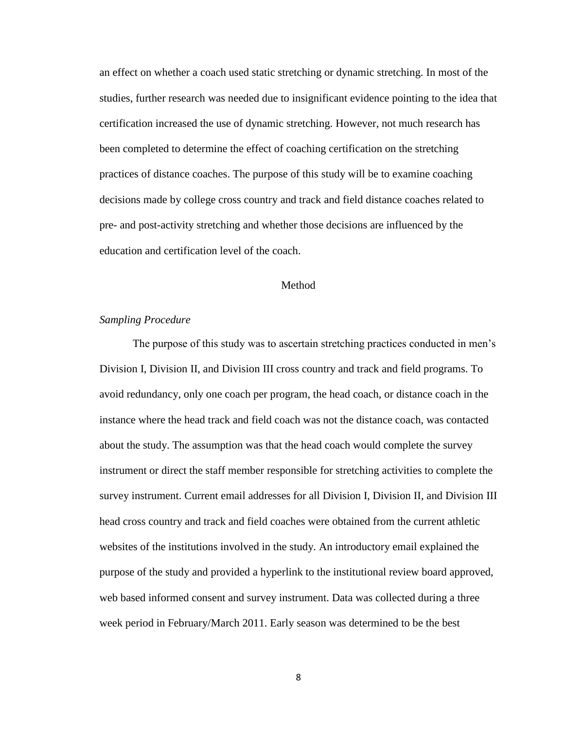an effect on whether a coach used static stretching or dynamic stretching. In most of the studies, further research was needed due to insignificant evidence pointing to the idea that certification increased the use of dynamic stretching. However, not much research has been completed to determine the effect of coaching certification on the stretching practices of distance coaches. The purpose of this study will be to examine coaching decisions made by college cross country and track and field distance coaches related to pre- and post-activity stretching and whether those decisions are influenced by the education and certification level of the coach.

#### Method

## *Sampling Procedure*

The purpose of this study was to ascertain stretching practices conducted in men"s Division I, Division II, and Division III cross country and track and field programs. To avoid redundancy, only one coach per program, the head coach, or distance coach in the instance where the head track and field coach was not the distance coach, was contacted about the study. The assumption was that the head coach would complete the survey instrument or direct the staff member responsible for stretching activities to complete the survey instrument. Current email addresses for all Division I, Division II, and Division III head cross country and track and field coaches were obtained from the current athletic websites of the institutions involved in the study. An introductory email explained the purpose of the study and provided a hyperlink to the institutional review board approved, web based informed consent and survey instrument. Data was collected during a three week period in February/March 2011. Early season was determined to be the best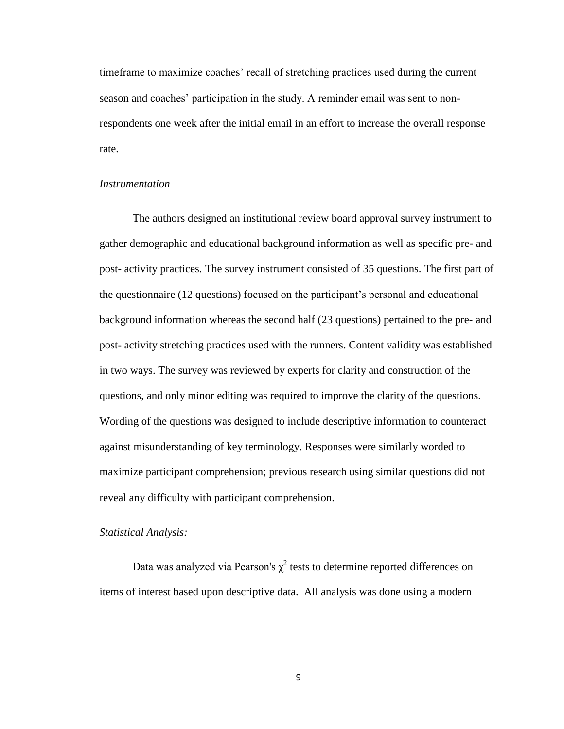timeframe to maximize coaches" recall of stretching practices used during the current season and coaches' participation in the study. A reminder email was sent to nonrespondents one week after the initial email in an effort to increase the overall response rate.

### *Instrumentation*

The authors designed an institutional review board approval survey instrument to gather demographic and educational background information as well as specific pre- and post- activity practices. The survey instrument consisted of 35 questions. The first part of the questionnaire (12 questions) focused on the participant"s personal and educational background information whereas the second half (23 questions) pertained to the pre- and post- activity stretching practices used with the runners. Content validity was established in two ways. The survey was reviewed by experts for clarity and construction of the questions, and only minor editing was required to improve the clarity of the questions. Wording of the questions was designed to include descriptive information to counteract against misunderstanding of key terminology. Responses were similarly worded to maximize participant comprehension; previous research using similar questions did not reveal any difficulty with participant comprehension.

### *Statistical Analysis:*

Data was analyzed via Pearson's  $\chi^2$  tests to determine reported differences on items of interest based upon descriptive data. All analysis was done using a modern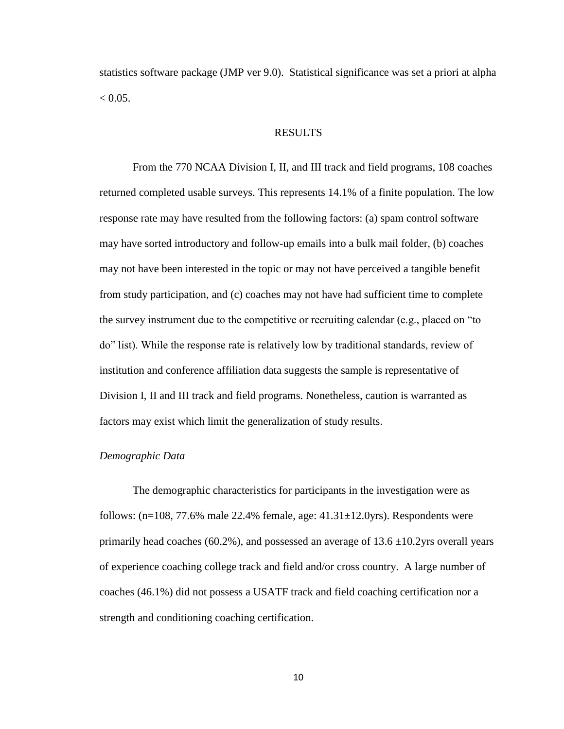statistics software package (JMP ver 9.0). Statistical significance was set a priori at alpha  $< 0.05$ .

## RESULTS

From the 770 NCAA Division I, II, and III track and field programs, 108 coaches returned completed usable surveys. This represents 14.1% of a finite population. The low response rate may have resulted from the following factors: (a) spam control software may have sorted introductory and follow-up emails into a bulk mail folder, (b) coaches may not have been interested in the topic or may not have perceived a tangible benefit from study participation, and (c) coaches may not have had sufficient time to complete the survey instrument due to the competitive or recruiting calendar (e.g., placed on "to do" list). While the response rate is relatively low by traditional standards, review of institution and conference affiliation data suggests the sample is representative of Division I, II and III track and field programs. Nonetheless, caution is warranted as factors may exist which limit the generalization of study results.

### *Demographic Data*

The demographic characteristics for participants in the investigation were as follows:  $(n=108, 77.6\%$  male 22.4% female, age:  $41.31\pm12.0$ yrs). Respondents were primarily head coaches (60.2%), and possessed an average of  $13.6 \pm 10.2$ yrs overall years of experience coaching college track and field and/or cross country. A large number of coaches (46.1%) did not possess a USATF track and field coaching certification nor a strength and conditioning coaching certification.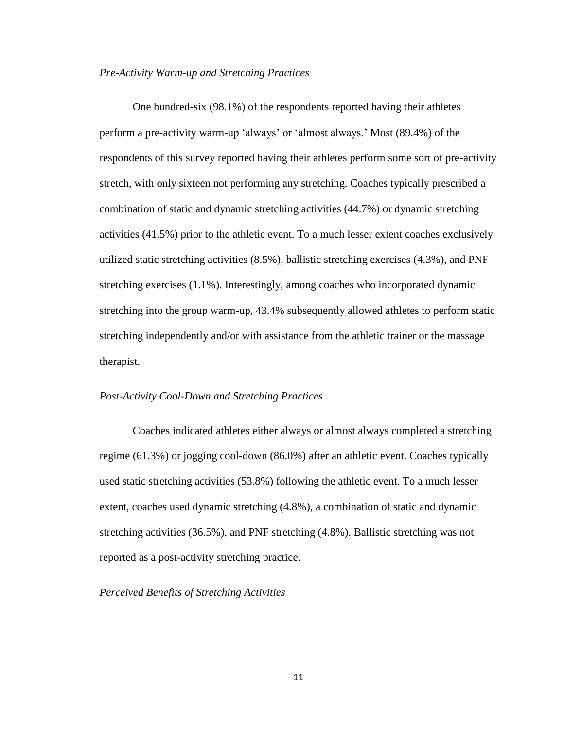### *Pre-Activity Warm-up and Stretching Practices*

One hundred-six (98.1%) of the respondents reported having their athletes perform a pre-activity warm-up "always" or "almost always." Most (89.4%) of the respondents of this survey reported having their athletes perform some sort of pre-activity stretch, with only sixteen not performing any stretching. Coaches typically prescribed a combination of static and dynamic stretching activities (44.7%) or dynamic stretching activities (41.5%) prior to the athletic event. To a much lesser extent coaches exclusively utilized static stretching activities (8.5%), ballistic stretching exercises (4.3%), and PNF stretching exercises (1.1%). Interestingly, among coaches who incorporated dynamic stretching into the group warm-up, 43.4% subsequently allowed athletes to perform static stretching independently and/or with assistance from the athletic trainer or the massage therapist.

### *Post-Activity Cool-Down and Stretching Practices*

Coaches indicated athletes either always or almost always completed a stretching regime (61.3%) or jogging cool-down (86.0%) after an athletic event. Coaches typically used static stretching activities (53.8%) following the athletic event. To a much lesser extent, coaches used dynamic stretching (4.8%), a combination of static and dynamic stretching activities (36.5%), and PNF stretching (4.8%). Ballistic stretching was not reported as a post-activity stretching practice.

## *Perceived Benefits of Stretching Activities*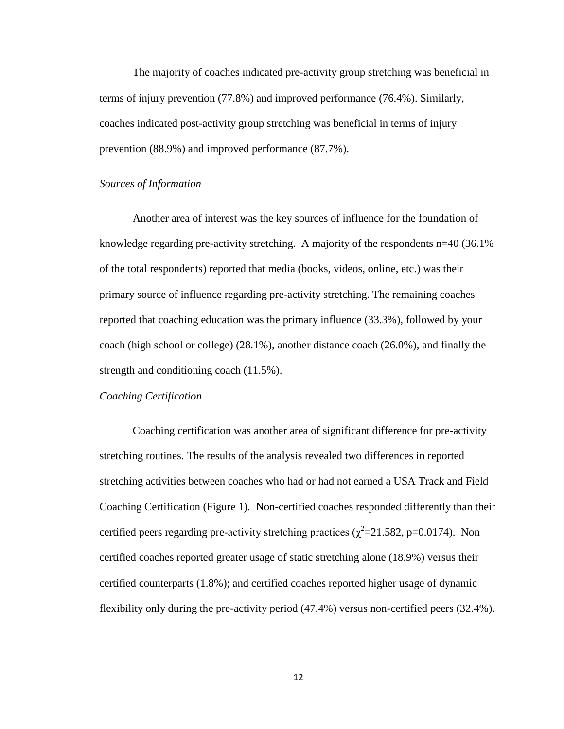The majority of coaches indicated pre-activity group stretching was beneficial in terms of injury prevention (77.8%) and improved performance (76.4%). Similarly, coaches indicated post-activity group stretching was beneficial in terms of injury prevention (88.9%) and improved performance (87.7%).

#### *Sources of Information*

Another area of interest was the key sources of influence for the foundation of knowledge regarding pre-activity stretching. A majority of the respondents n=40 (36.1% of the total respondents) reported that media (books, videos, online, etc.) was their primary source of influence regarding pre-activity stretching. The remaining coaches reported that coaching education was the primary influence (33.3%), followed by your coach (high school or college) (28.1%), another distance coach (26.0%), and finally the strength and conditioning coach (11.5%).

## *Coaching Certification*

Coaching certification was another area of significant difference for pre-activity stretching routines. The results of the analysis revealed two differences in reported stretching activities between coaches who had or had not earned a USA Track and Field Coaching Certification (Figure 1). Non-certified coaches responded differently than their certified peers regarding pre-activity stretching practices ( $\chi^2$ =21.582, p=0.0174). Non certified coaches reported greater usage of static stretching alone (18.9%) versus their certified counterparts (1.8%); and certified coaches reported higher usage of dynamic flexibility only during the pre-activity period (47.4%) versus non-certified peers (32.4%).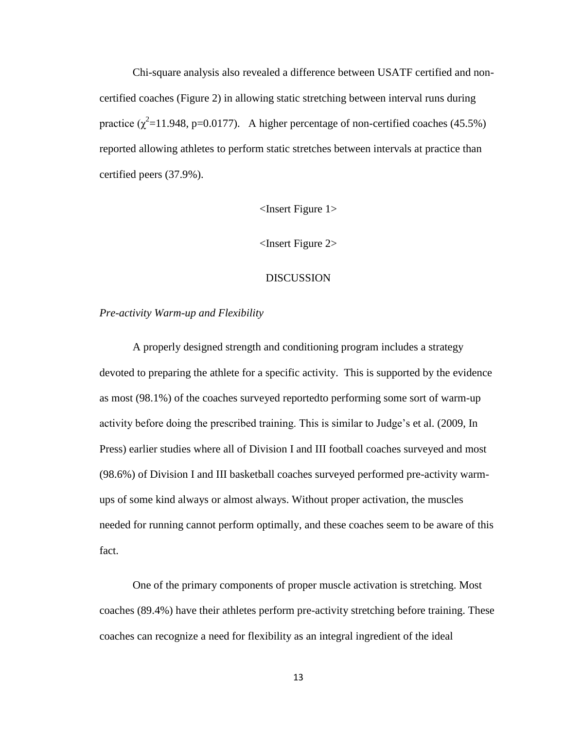Chi-square analysis also revealed a difference between USATF certified and noncertified coaches (Figure 2) in allowing static stretching between interval runs during practice  $(\chi^2=11.948, p=0.0177)$ . A higher percentage of non-certified coaches (45.5%) reported allowing athletes to perform static stretches between intervals at practice than certified peers (37.9%).

## <Insert Figure 1>

<Insert Figure 2>

### DISCUSSION

#### *Pre-activity Warm-up and Flexibility*

A properly designed strength and conditioning program includes a strategy devoted to preparing the athlete for a specific activity. This is supported by the evidence as most (98.1%) of the coaches surveyed reportedto performing some sort of warm-up activity before doing the prescribed training. This is similar to Judge's et al. (2009, In Press) earlier studies where all of Division I and III football coaches surveyed and most (98.6%) of Division I and III basketball coaches surveyed performed pre-activity warmups of some kind always or almost always. Without proper activation, the muscles needed for running cannot perform optimally, and these coaches seem to be aware of this fact.

One of the primary components of proper muscle activation is stretching. Most coaches (89.4%) have their athletes perform pre-activity stretching before training. These coaches can recognize a need for flexibility as an integral ingredient of the ideal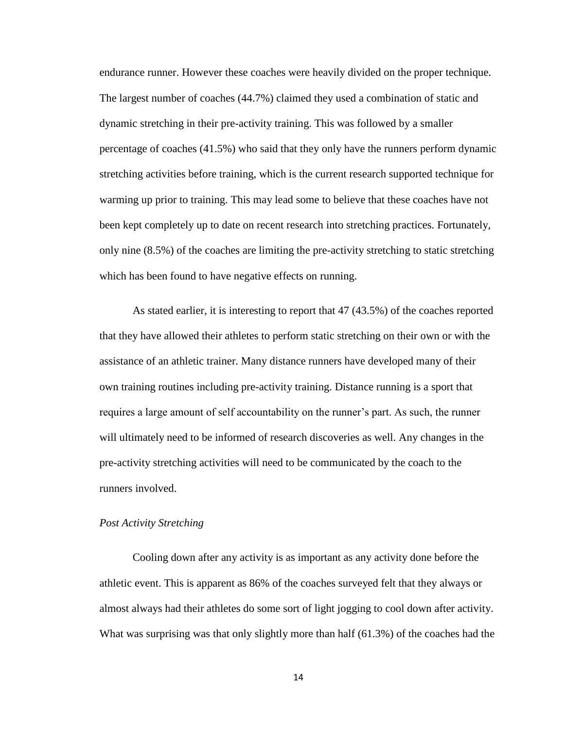endurance runner. However these coaches were heavily divided on the proper technique. The largest number of coaches (44.7%) claimed they used a combination of static and dynamic stretching in their pre-activity training. This was followed by a smaller percentage of coaches (41.5%) who said that they only have the runners perform dynamic stretching activities before training, which is the current research supported technique for warming up prior to training. This may lead some to believe that these coaches have not been kept completely up to date on recent research into stretching practices. Fortunately, only nine (8.5%) of the coaches are limiting the pre-activity stretching to static stretching which has been found to have negative effects on running.

As stated earlier, it is interesting to report that 47 (43.5%) of the coaches reported that they have allowed their athletes to perform static stretching on their own or with the assistance of an athletic trainer. Many distance runners have developed many of their own training routines including pre-activity training. Distance running is a sport that requires a large amount of self accountability on the runner"s part. As such, the runner will ultimately need to be informed of research discoveries as well. Any changes in the pre-activity stretching activities will need to be communicated by the coach to the runners involved.

## *Post Activity Stretching*

Cooling down after any activity is as important as any activity done before the athletic event. This is apparent as 86% of the coaches surveyed felt that they always or almost always had their athletes do some sort of light jogging to cool down after activity. What was surprising was that only slightly more than half (61.3%) of the coaches had the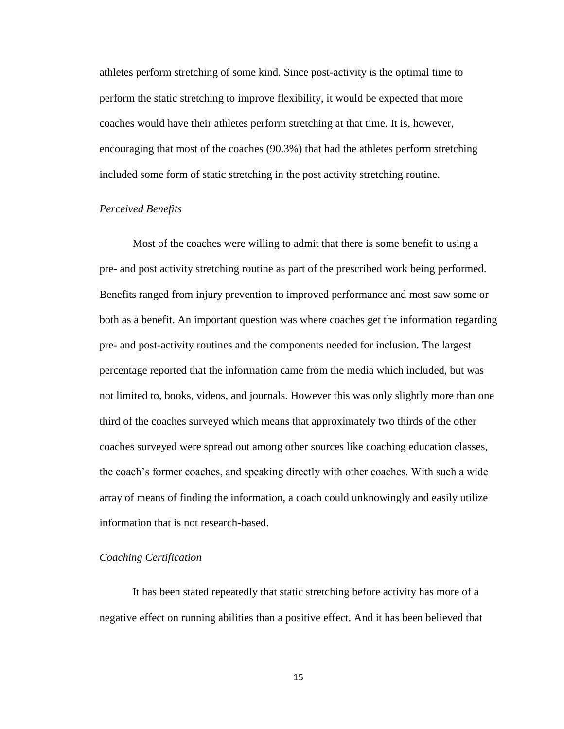athletes perform stretching of some kind. Since post-activity is the optimal time to perform the static stretching to improve flexibility, it would be expected that more coaches would have their athletes perform stretching at that time. It is, however, encouraging that most of the coaches (90.3%) that had the athletes perform stretching included some form of static stretching in the post activity stretching routine.

## *Perceived Benefits*

Most of the coaches were willing to admit that there is some benefit to using a pre- and post activity stretching routine as part of the prescribed work being performed. Benefits ranged from injury prevention to improved performance and most saw some or both as a benefit. An important question was where coaches get the information regarding pre- and post-activity routines and the components needed for inclusion. The largest percentage reported that the information came from the media which included, but was not limited to, books, videos, and journals. However this was only slightly more than one third of the coaches surveyed which means that approximately two thirds of the other coaches surveyed were spread out among other sources like coaching education classes, the coach"s former coaches, and speaking directly with other coaches. With such a wide array of means of finding the information, a coach could unknowingly and easily utilize information that is not research-based.

### *Coaching Certification*

It has been stated repeatedly that static stretching before activity has more of a negative effect on running abilities than a positive effect. And it has been believed that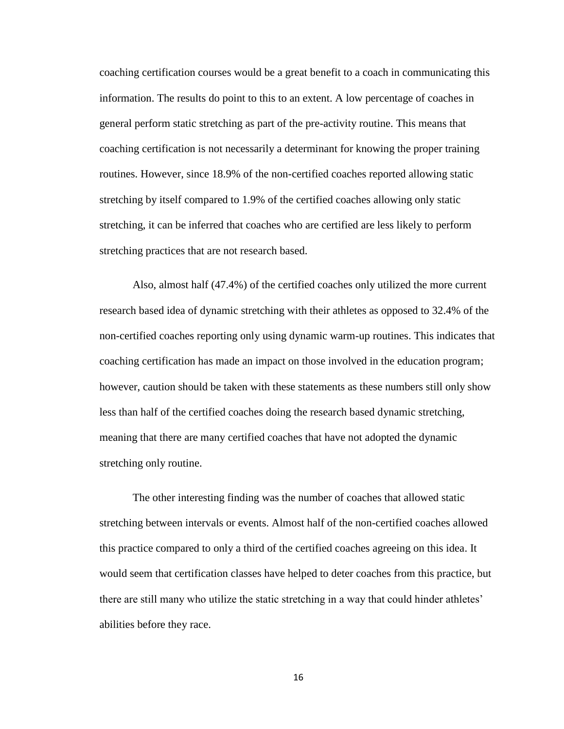coaching certification courses would be a great benefit to a coach in communicating this information. The results do point to this to an extent. A low percentage of coaches in general perform static stretching as part of the pre-activity routine. This means that coaching certification is not necessarily a determinant for knowing the proper training routines. However, since 18.9% of the non-certified coaches reported allowing static stretching by itself compared to 1.9% of the certified coaches allowing only static stretching, it can be inferred that coaches who are certified are less likely to perform stretching practices that are not research based.

Also, almost half (47.4%) of the certified coaches only utilized the more current research based idea of dynamic stretching with their athletes as opposed to 32.4% of the non-certified coaches reporting only using dynamic warm-up routines. This indicates that coaching certification has made an impact on those involved in the education program; however, caution should be taken with these statements as these numbers still only show less than half of the certified coaches doing the research based dynamic stretching, meaning that there are many certified coaches that have not adopted the dynamic stretching only routine.

The other interesting finding was the number of coaches that allowed static stretching between intervals or events. Almost half of the non-certified coaches allowed this practice compared to only a third of the certified coaches agreeing on this idea. It would seem that certification classes have helped to deter coaches from this practice, but there are still many who utilize the static stretching in a way that could hinder athletes" abilities before they race.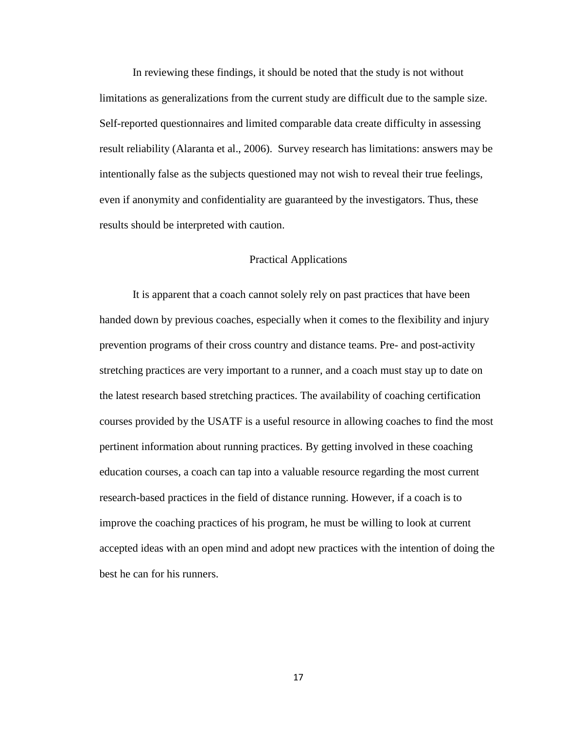In reviewing these findings, it should be noted that the study is not without limitations as generalizations from the current study are difficult due to the sample size. Self-reported questionnaires and limited comparable data create difficulty in assessing result reliability (Alaranta et al., 2006). Survey research has limitations: answers may be intentionally false as the subjects questioned may not wish to reveal their true feelings, even if anonymity and confidentiality are guaranteed by the investigators. Thus, these results should be interpreted with caution.

## Practical Applications

It is apparent that a coach cannot solely rely on past practices that have been handed down by previous coaches, especially when it comes to the flexibility and injury prevention programs of their cross country and distance teams. Pre- and post-activity stretching practices are very important to a runner, and a coach must stay up to date on the latest research based stretching practices. The availability of coaching certification courses provided by the USATF is a useful resource in allowing coaches to find the most pertinent information about running practices. By getting involved in these coaching education courses, a coach can tap into a valuable resource regarding the most current research-based practices in the field of distance running. However, if a coach is to improve the coaching practices of his program, he must be willing to look at current accepted ideas with an open mind and adopt new practices with the intention of doing the best he can for his runners.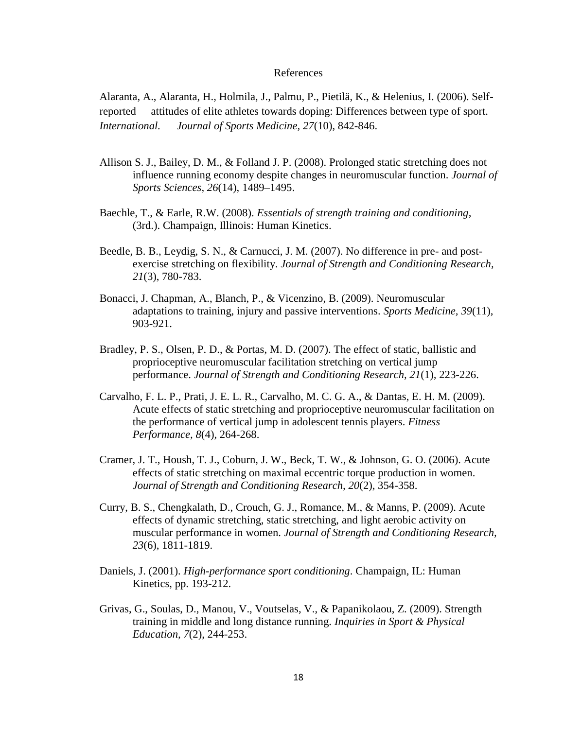### References

Alaranta, A., Alaranta, H., Holmila, J., Palmu, P., Pietilä, K., & Helenius, I. (2006). Selfreported attitudes of elite athletes towards doping: Differences between type of sport*. International. Journal of Sports Medicine, 27*(10), 842-846.

- Allison S. J., Bailey, D. M., & Folland J. P. (2008). Prolonged static stretching does not influence running economy despite changes in neuromuscular function. *Journal of Sports Sciences, 26*(14), 1489–1495.
- Baechle, T., & Earle, R.W. (2008). *Essentials of strength training and conditioning*, (3rd.). Champaign, Illinois: Human Kinetics.
- Beedle, B. B., Leydig, S. N., & Carnucci, J. M. (2007). No difference in pre- and postexercise stretching on flexibility. *Journal of Strength and Conditioning Research, 21*(3), 780-783.
- Bonacci, J. Chapman, A., Blanch, P., & Vicenzino, B. (2009). Neuromuscular adaptations to training, injury and passive interventions. *Sports Medicine, 39*(11), 903-921.
- Bradley, P. S., Olsen, P. D., & Portas, M. D. (2007). The effect of static, ballistic and proprioceptive neuromuscular facilitation stretching on vertical jump performance. *Journal of Strength and Conditioning Research, 21*(1)*,* 223-226.
- Carvalho, F. L. P., Prati, J. E. L. R., Carvalho, M. C. G. A., & Dantas, E. H. M. (2009). Acute effects of static stretching and proprioceptive neuromuscular facilitation on the performance of vertical jump in adolescent tennis players. *Fitness Performance, 8*(4)*,* 264-268.
- Cramer, J. T., Housh, T. J., Coburn, J. W., Beck, T. W., & Johnson, G. O. (2006). Acute effects of static stretching on maximal eccentric torque production in women. *Journal of Strength and Conditioning Research, 20*(2), 354-358.
- Curry, B. S., Chengkalath, D., Crouch, G. J., Romance, M., & Manns, P. (2009). Acute effects of dynamic stretching, static stretching, and light aerobic activity on muscular performance in women. *Journal of Strength and Conditioning Research, 23*(6), 1811-1819.
- Daniels, J. (2001). *High-performance sport conditioning*. Champaign, IL: Human Kinetics, pp. 193-212.
- Grivas, G., Soulas, D., Manou, V., Voutselas, V., & Papanikolaou, Z. (2009). Strength training in middle and long distance running. *Inquiries in Sport & Physical Education, 7*(2), 244-253.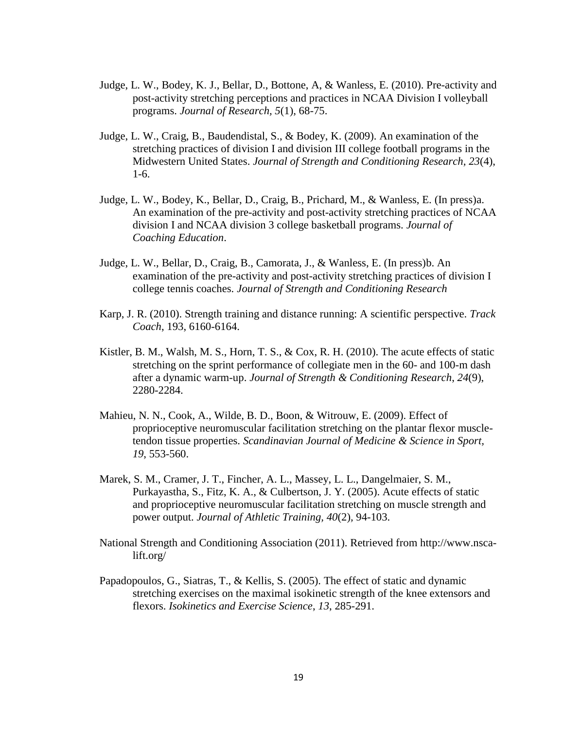- Judge, L. W., Bodey, K. J., Bellar, D., Bottone, A, & Wanless, E. (2010). Pre-activity and post-activity stretching perceptions and practices in NCAA Division I volleyball programs. *Journal of Research, 5*(1), 68-75.
- Judge, L. W., Craig, B., Baudendistal, S., & Bodey, K. (2009). An examination of the stretching practices of division I and division III college football programs in the Midwestern United States. *Journal of Strength and Conditioning Research, 23*(4), 1-6.
- Judge, L. W., Bodey, K., Bellar, D., Craig, B., Prichard, M., & Wanless, E. (In press)a. An examination of the pre-activity and post-activity stretching practices of NCAA division I and NCAA division 3 college basketball programs. *Journal of Coaching Education*.
- Judge, L. W., Bellar, D., Craig, B., Camorata, J., & Wanless, E. (In press)b. An examination of the pre-activity and post-activity stretching practices of division I college tennis coaches. *Journal of Strength and Conditioning Research*
- Karp, J. R. (2010). Strength training and distance running: A scientific perspective. *Track Coach*, 193, 6160-6164.
- Kistler, B. M., Walsh, M. S., Horn, T. S., & Cox, R. H. (2010). The acute effects of static stretching on the sprint performance of collegiate men in the 60- and 100-m dash after a dynamic warm-up. *Journal of Strength & Conditioning Research*, *24*(9), 2280-2284.
- Mahieu, N. N., Cook, A., Wilde, B. D., Boon, & Witrouw, E. (2009). Effect of proprioceptive neuromuscular facilitation stretching on the plantar flexor muscletendon tissue properties. *Scandinavian Journal of Medicine & Science in Sport, 19*, 553-560.
- Marek, S. M., Cramer, J. T., Fincher, A. L., Massey, L. L., Dangelmaier, S. M., Purkayastha, S., Fitz, K. A., & Culbertson, J. Y. (2005). Acute effects of static and proprioceptive neuromuscular facilitation stretching on muscle strength and power output. *Journal of Athletic Training, 40*(2)*,* 94-103.
- National Strength and Conditioning Association (2011). Retrieved from http://www.nscalift.org/
- Papadopoulos, G., Siatras, T., & Kellis, S. (2005). The effect of static and dynamic stretching exercises on the maximal isokinetic strength of the knee extensors and flexors. *Isokinetics and Exercise Science*, *13*, 285-291.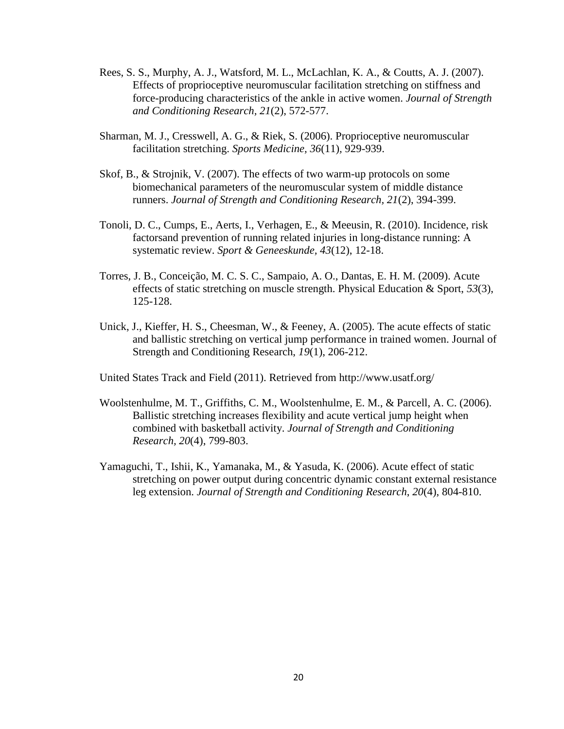- Rees, S. S., Murphy, A. J., Watsford, M. L., McLachlan, K. A., & Coutts, A. J. (2007). Effects of proprioceptive neuromuscular facilitation stretching on stiffness and force-producing characteristics of the ankle in active women. *Journal of Strength and Conditioning Research, 21*(2), 572-577.
- Sharman, M. J., Cresswell, A. G., & Riek, S. (2006). Proprioceptive neuromuscular facilitation stretching. *Sports Medicine, 36*(11)*,* 929-939.
- Skof, B., & Strojnik, V. (2007). The effects of two warm-up protocols on some biomechanical parameters of the neuromuscular system of middle distance runners. *Journal of Strength and Conditioning Research, 21*(2), 394-399.
- Tonoli, D. C., Cumps, E., Aerts, I., Verhagen, E., & Meeusin, R. (2010). Incidence, risk factorsand prevention of running related injuries in long-distance running: A systematic review. *Sport & Geneeskunde, 43*(12), 12-18.
- Torres, J. B., Conceição, M. C. S. C., Sampaio, A. O., Dantas, E. H. M. (2009). Acute effects of static stretching on muscle strength. Physical Education & Sport, *53*(3), 125-128.
- Unick, J., Kieffer, H. S., Cheesman, W., & Feeney, A. (2005). The acute effects of static and ballistic stretching on vertical jump performance in trained women. Journal of Strength and Conditioning Research, *19*(1), 206-212.

United States Track and Field (2011). Retrieved from http://www.usatf.org/

- Woolstenhulme, M. T., Griffiths, C. M., Woolstenhulme, E. M., & Parcell, A. C. (2006). Ballistic stretching increases flexibility and acute vertical jump height when combined with basketball activity. *Journal of Strength and Conditioning Research, 20*(4), 799-803.
- Yamaguchi, T., Ishii, K., Yamanaka, M., & Yasuda, K. (2006). Acute effect of static stretching on power output during concentric dynamic constant external resistance leg extension. *Journal of Strength and Conditioning Research*, *20*(4), 804-810.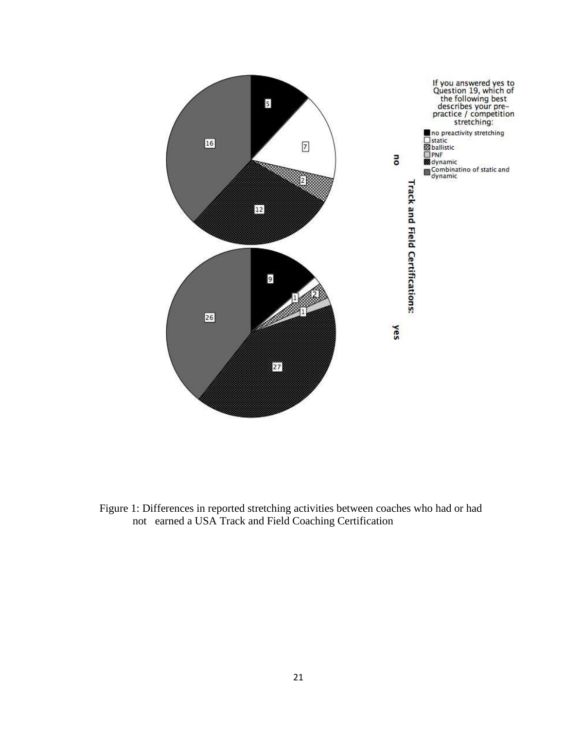

Figure 1: Differences in reported stretching activities between coaches who had or had not earned a USA Track and Field Coaching Certification